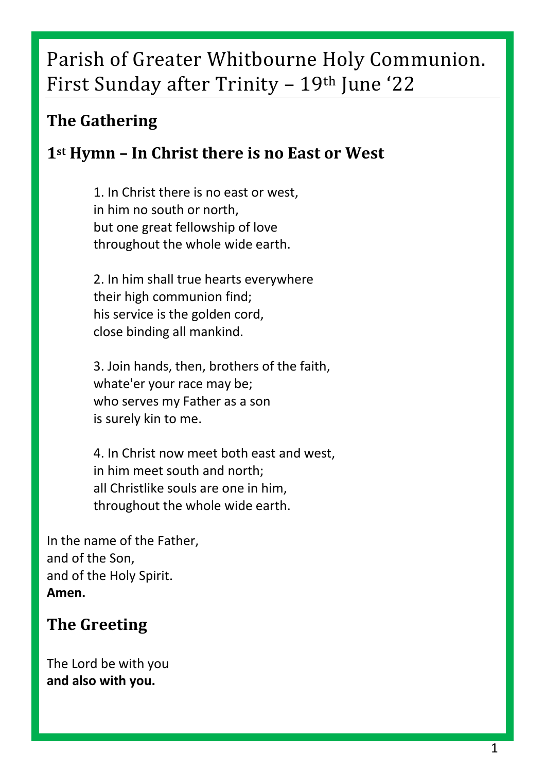# Parish of Greater Whitbourne Holy Communion. First Sunday after Trinity – 19th June '22

## **The Gathering**

## **1st Hymn – In Christ there is no East or West**

1. In Christ there is no east or west, in him no south or north, but one great fellowship of love throughout the whole wide earth.

2. In him shall true hearts everywhere their high communion find; his service is the golden cord, close binding all mankind.

3. Join hands, then, brothers of the faith, whate'er your race may be; who serves my Father as a son is surely kin to me.

4. In Christ now meet both east and west, in him meet south and north; all Christlike souls are one in him, throughout the whole wide earth.

In the name of the Father, and of the Son, and of the Holy Spirit. **Amen.**

## **The Greeting**

The Lord be with you **and also with you.**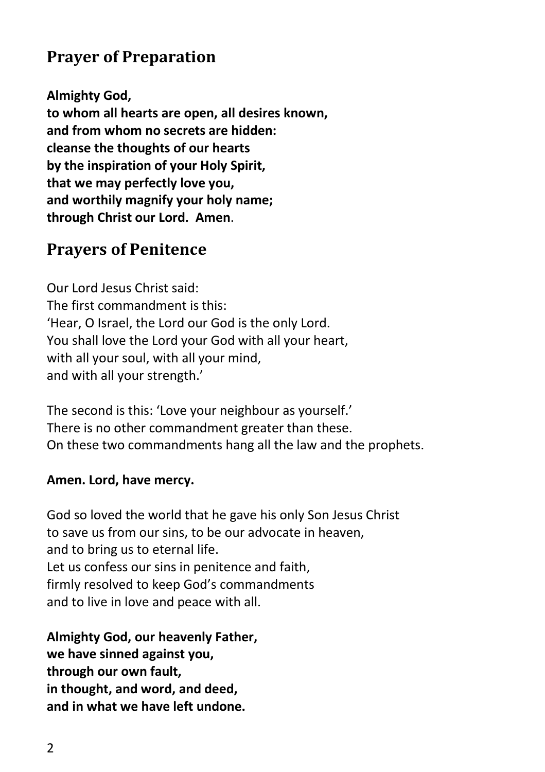## **Prayer of Preparation**

**Almighty God, to whom all hearts are open, all desires known, and from whom no secrets are hidden: cleanse the thoughts of our hearts by the inspiration of your Holy Spirit, that we may perfectly love you, and worthily magnify your holy name; through Christ our Lord. Amen**.

#### **Prayers of Penitence**

Our Lord Jesus Christ said: The first commandment is this: 'Hear, O Israel, the Lord our God is the only Lord. You shall love the Lord your God with all your heart, with all your soul, with all your mind, and with all your strength.'

The second is this: 'Love your neighbour as yourself.' There is no other commandment greater than these. On these two commandments hang all the law and the prophets.

#### **Amen. Lord, have mercy.**

God so loved the world that he gave his only Son Jesus Christ to save us from our sins, to be our advocate in heaven, and to bring us to eternal life. Let us confess our sins in penitence and faith, firmly resolved to keep God's commandments and to live in love and peace with all.

**Almighty God, our heavenly Father, we have sinned against you, through our own fault, in thought, and word, and deed, and in what we have left undone.**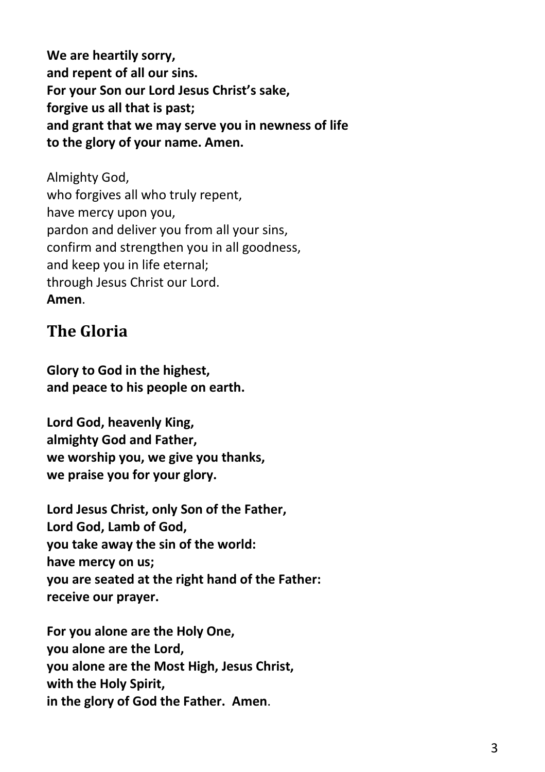**We are heartily sorry, and repent of all our sins. For your Son our Lord Jesus Christ's sake, forgive us all that is past; and grant that we may serve you in newness of life to the glory of your name. Amen.**

Almighty God, who forgives all who truly repent, have mercy upon you, pardon and deliver you from all your sins, confirm and strengthen you in all goodness, and keep you in life eternal; through Jesus Christ our Lord. **Amen**.

#### **The Gloria**

**Glory to God in the highest, and peace to his people on earth.**

**Lord God, heavenly King, almighty God and Father, we worship you, we give you thanks, we praise you for your glory.**

**Lord Jesus Christ, only Son of the Father, Lord God, Lamb of God, you take away the sin of the world: have mercy on us; you are seated at the right hand of the Father: receive our prayer.**

**For you alone are the Holy One, you alone are the Lord, you alone are the Most High, Jesus Christ, with the Holy Spirit, in the glory of God the Father. Amen**.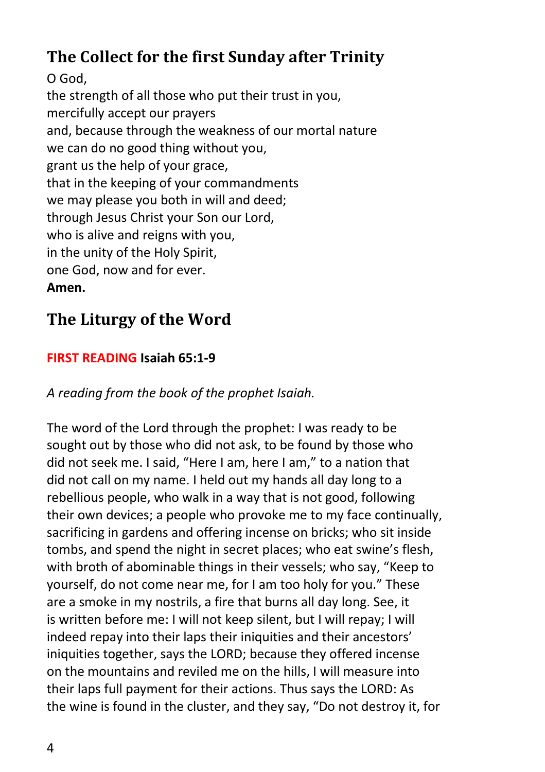## **The Collect for the first Sunday after Trinity**

O God, the strength of all those who put their trust in you, mercifully accept our prayers and, because through the weakness of our mortal nature we can do no good thing without you, grant us the help of your grace, that in the keeping of your commandments we may please you both in will and deed; through Jesus Christ your Son our Lord, who is alive and reigns with you, in the unity of the Holy Spirit, one God, now and for ever.

**Amen.** 

## **The Liturgy of the Word**

#### **FIRST READING Isaiah 65:1-9**

#### *A reading from the book of the prophet Isaiah.*

The word of the Lord through the prophet: I was ready to be sought out by those who did not ask, to be found by those who did not seek me. I said, "Here I am, here I am," to a nation that did not call on my name. I held out my hands all day long to a rebellious people, who walk in a way that is not good, following their own devices; a people who provoke me to my face continually, sacrificing in gardens and offering incense on bricks; who sit inside tombs, and spend the night in secret places; who eat swine's flesh, with broth of abominable things in their vessels; who say, "Keep to yourself, do not come near me, for I am too holy for you." These are a smoke in my nostrils, a fire that burns all day long. See, it is written before me: I will not keep silent, but I will repay; I will indeed repay into their laps their iniquities and their ancestors' iniquities together, says the LORD; because they offered incense on the mountains and reviled me on the hills, I will measure into their laps full payment for their actions. Thus says the LORD: As the wine is found in the cluster, and they say, "Do not destroy it, for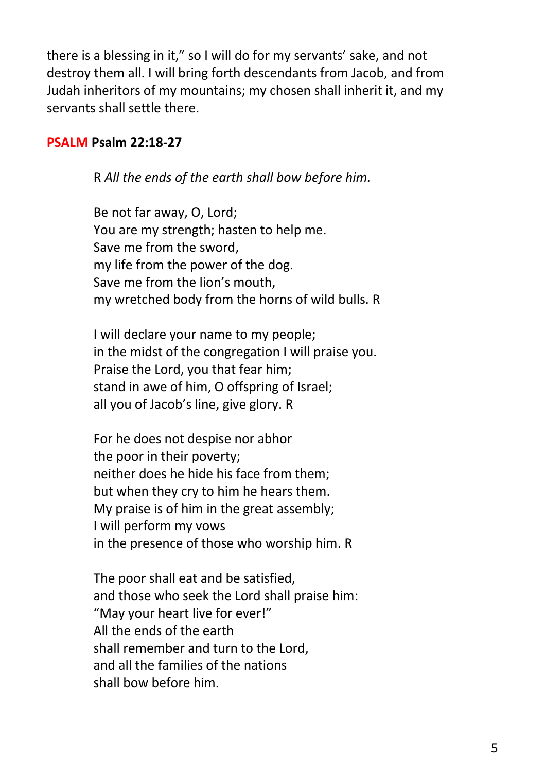there is a blessing in it," so I will do for my servants' sake, and not destroy them all. I will bring forth descendants from Jacob, and from Judah inheritors of my mountains; my chosen shall inherit it, and my servants shall settle there.

#### **PSALM Psalm 22:18-27**

R *All the ends of the earth shall bow before him.*

Be not far away, O, Lord; You are my strength; hasten to help me. Save me from the sword, my life from the power of the dog. Save me from the lion's mouth, my wretched body from the horns of wild bulls. R

I will declare your name to my people; in the midst of the congregation I will praise you. Praise the Lord, you that fear him; stand in awe of him, O offspring of Israel; all you of Jacob's line, give glory. R

For he does not despise nor abhor the poor in their poverty; neither does he hide his face from them; but when they cry to him he hears them. My praise is of him in the great assembly; I will perform my vows in the presence of those who worship him. R

The poor shall eat and be satisfied, and those who seek the Lord shall praise him: "May your heart live for ever!" All the ends of the earth shall remember and turn to the Lord, and all the families of the nations shall bow before him.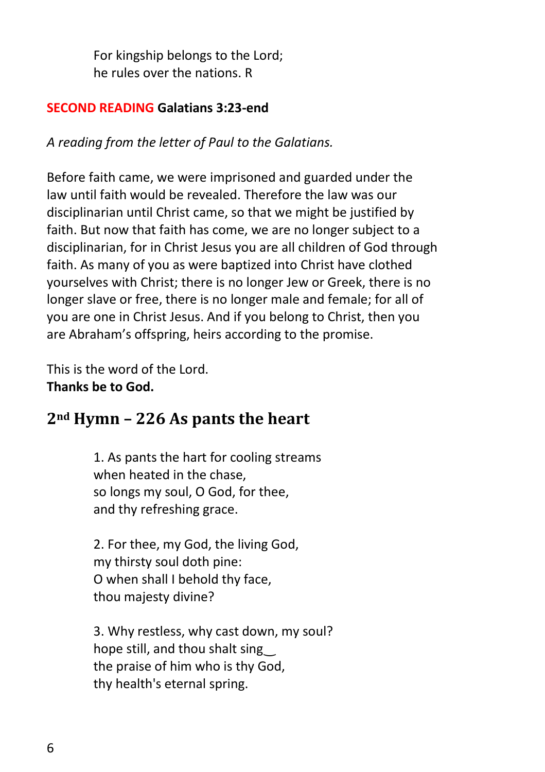For kingship belongs to the Lord; he rules over the nations. R

#### **SECOND READING Galatians 3:23-end**

*A reading from the letter of Paul to the Galatians.*

Before faith came, we were imprisoned and guarded under the law until faith would be revealed. Therefore the law was our disciplinarian until Christ came, so that we might be justified by faith. But now that faith has come, we are no longer subject to a disciplinarian, for in Christ Jesus you are all children of God through faith. As many of you as were baptized into Christ have clothed yourselves with Christ; there is no longer Jew or Greek, there is no longer slave or free, there is no longer male and female; for all of you are one in Christ Jesus. And if you belong to Christ, then you are Abraham's offspring, heirs according to the promise.

This is the word of the Lord. **Thanks be to God.**

#### **2nd Hymn – 226 As pants the heart**

1. As pants the hart for cooling streams when heated in the chase, so longs my soul, O God, for thee, and thy refreshing grace.

2. For thee, my God, the living God, my thirsty soul doth pine: O when shall I behold thy face, thou majesty divine?

3. Why restless, why cast down, my soul? hope still, and thou shalt sing the praise of him who is thy God, thy health's eternal spring.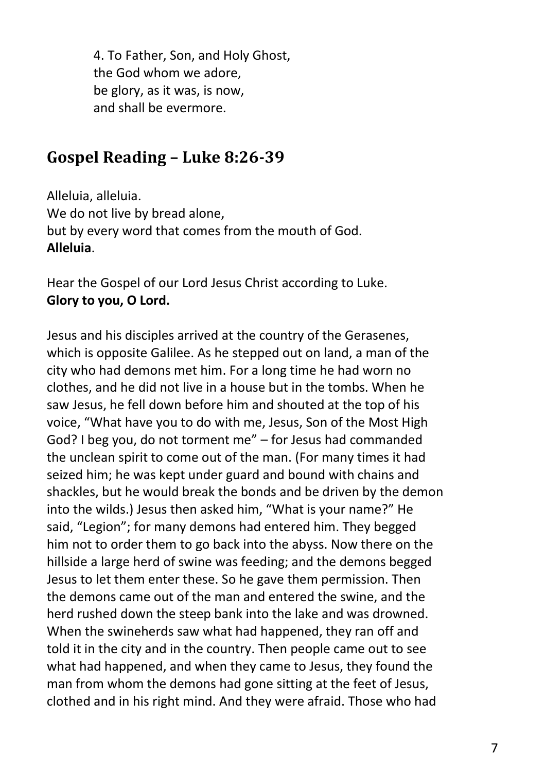4. To Father, Son, and Holy Ghost, the God whom we adore, be glory, as it was, is now, and shall be evermore.

#### **Gospel Reading – Luke 8:26-39**

Alleluia, alleluia. We do not live by bread alone, but by every word that comes from the mouth of God. **Alleluia**.

Hear the Gospel of our Lord Jesus Christ according to Luke. **Glory to you, O Lord.** 

Jesus and his disciples arrived at the country of the Gerasenes, which is opposite Galilee. As he stepped out on land, a man of the city who had demons met him. For a long time he had worn no clothes, and he did not live in a house but in the tombs. When he saw Jesus, he fell down before him and shouted at the top of his voice, "What have you to do with me, Jesus, Son of the Most High God? I beg you, do not torment me" – for Jesus had commanded the unclean spirit to come out of the man. (For many times it had seized him; he was kept under guard and bound with chains and shackles, but he would break the bonds and be driven by the demon into the wilds.) Jesus then asked him, "What is your name?" He said, "Legion"; for many demons had entered him. They begged him not to order them to go back into the abyss. Now there on the hillside a large herd of swine was feeding; and the demons begged Jesus to let them enter these. So he gave them permission. Then the demons came out of the man and entered the swine, and the herd rushed down the steep bank into the lake and was drowned. When the swineherds saw what had happened, they ran off and told it in the city and in the country. Then people came out to see what had happened, and when they came to Jesus, they found the man from whom the demons had gone sitting at the feet of Jesus, clothed and in his right mind. And they were afraid. Those who had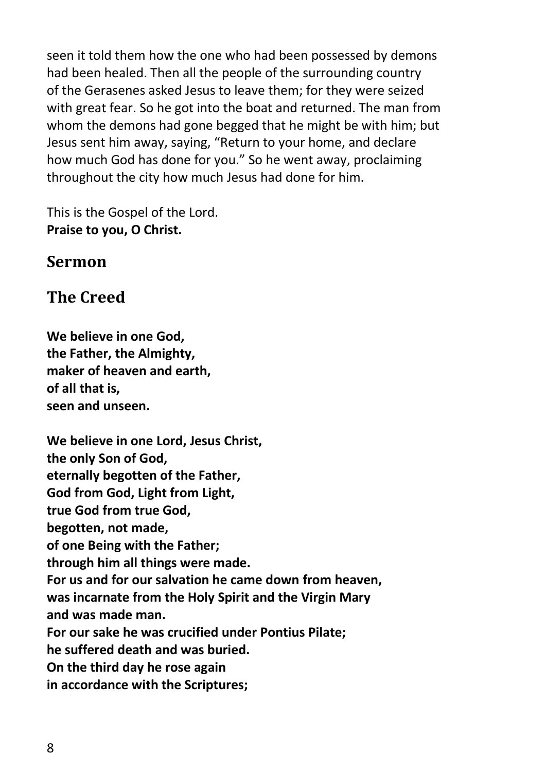seen it told them how the one who had been possessed by demons had been healed. Then all the people of the surrounding country of the Gerasenes asked Jesus to leave them; for they were seized with great fear. So he got into the boat and returned. The man from whom the demons had gone begged that he might be with him; but Jesus sent him away, saying, "Return to your home, and declare how much God has done for you." So he went away, proclaiming throughout the city how much Jesus had done for him.

This is the Gospel of the Lord. **Praise to you, O Christ.** 

#### **Sermon**

#### **The Creed**

**We believe in one God, the Father, the Almighty, maker of heaven and earth, of all that is, seen and unseen.**

**We believe in one Lord, Jesus Christ, the only Son of God, eternally begotten of the Father, God from God, Light from Light, true God from true God, begotten, not made, of one Being with the Father; through him all things were made. For us and for our salvation he came down from heaven, was incarnate from the Holy Spirit and the Virgin Mary and was made man. For our sake he was crucified under Pontius Pilate; he suffered death and was buried. On the third day he rose again in accordance with the Scriptures;**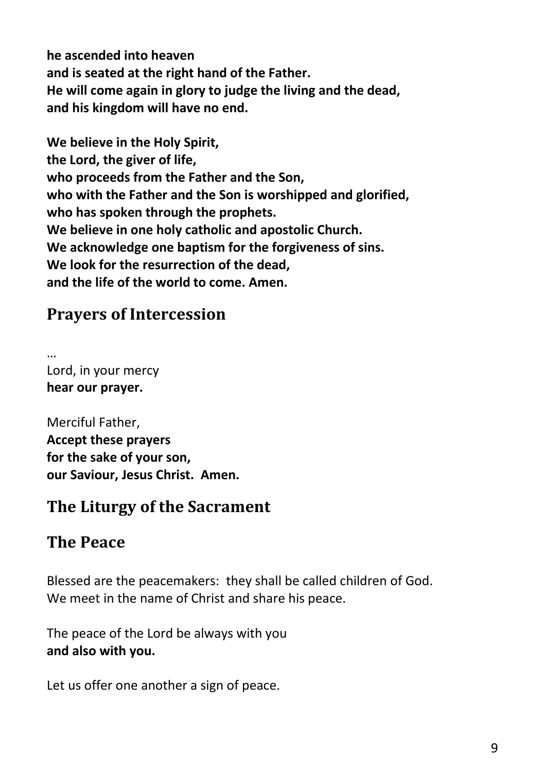**he ascended into heaven and is seated at the right hand of the Father. He will come again in glory to judge the living and the dead, and his kingdom will have no end.**

**We believe in the Holy Spirit, the Lord, the giver of life, who proceeds from the Father and the Son, who with the Father and the Son is worshipped and glorified, who has spoken through the prophets. We believe in one holy catholic and apostolic Church. We acknowledge one baptism for the forgiveness of sins. We look for the resurrection of the dead, and the life of the world to come. Amen.** 

## **Prayers of Intercession**

… Lord, in your mercy **hear our prayer.**

Merciful Father, **Accept these prayers for the sake of your son, our Saviour, Jesus Christ. Amen.**

## **The Liturgy of the Sacrament**

## **The Peace**

Blessed are the peacemakers: they shall be called children of God. We meet in the name of Christ and share his peace.

The peace of the Lord be always with you **and also with you.** 

Let us offer one another a sign of peace.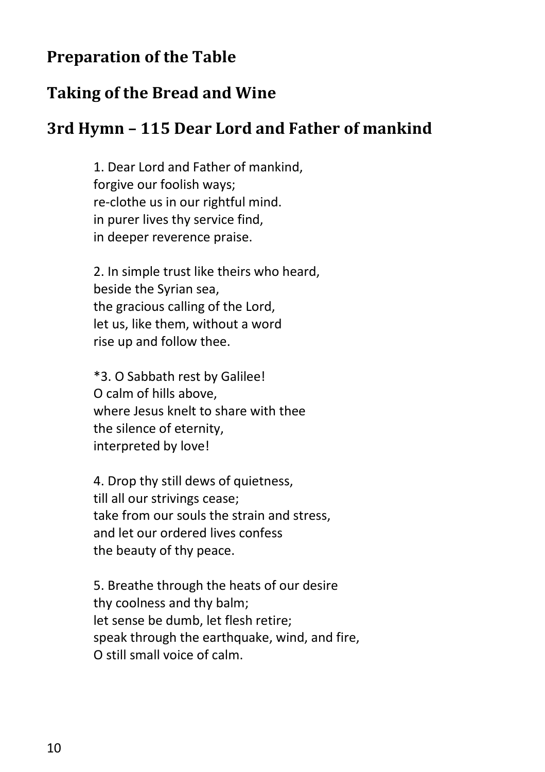### **Preparation of the Table**

#### **Taking of the Bread and Wine**

#### **3rd Hymn – 115 Dear Lord and Father of mankind**

1. Dear Lord and Father of mankind, forgive our foolish ways; re-clothe us in our rightful mind. in purer lives thy service find, in deeper reverence praise.

2. In simple trust like theirs who heard, beside the Syrian sea, the gracious calling of the Lord, let us, like them, without a word rise up and follow thee.

\*3. O Sabbath rest by Galilee! O calm of hills above, where Jesus knelt to share with thee the silence of eternity, interpreted by love!

4. Drop thy still dews of quietness, till all our strivings cease; take from our souls the strain and stress, and let our ordered lives confess the beauty of thy peace.

5. Breathe through the heats of our desire thy coolness and thy balm; let sense be dumb, let flesh retire; speak through the earthquake, wind, and fire, O still small voice of calm.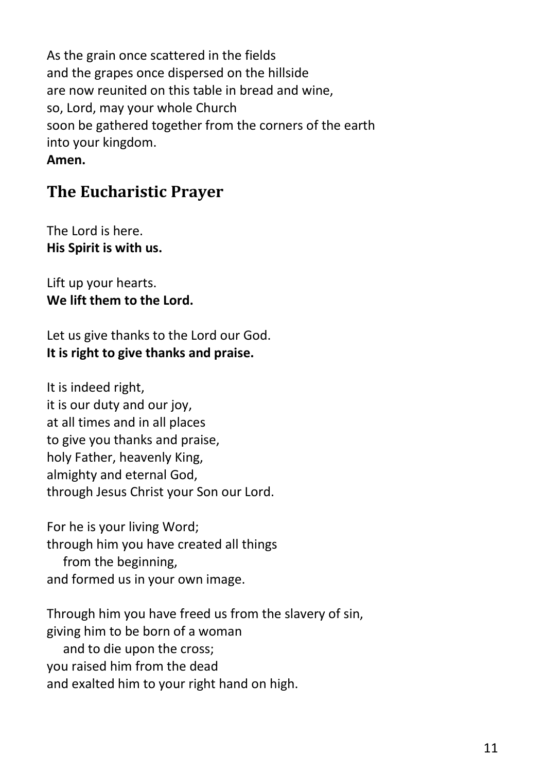As the grain once scattered in the fields and the grapes once dispersed on the hillside are now reunited on this table in bread and wine, so, Lord, may your whole Church soon be gathered together from the corners of the earth into your kingdom. **Amen.**

## **The Eucharistic Prayer**

The Lord is here. **His Spirit is with us.** 

Lift up your hearts. **We lift them to the Lord.** 

Let us give thanks to the Lord our God. **It is right to give thanks and praise.** 

It is indeed right, it is our duty and our joy, at all times and in all places to give you thanks and praise, holy Father, heavenly King, almighty and eternal God, through Jesus Christ your Son our Lord.

For he is your living Word; through him you have created all things from the beginning, and formed us in your own image.

Through him you have freed us from the slavery of sin, giving him to be born of a woman and to die upon the cross; you raised him from the dead and exalted him to your right hand on high.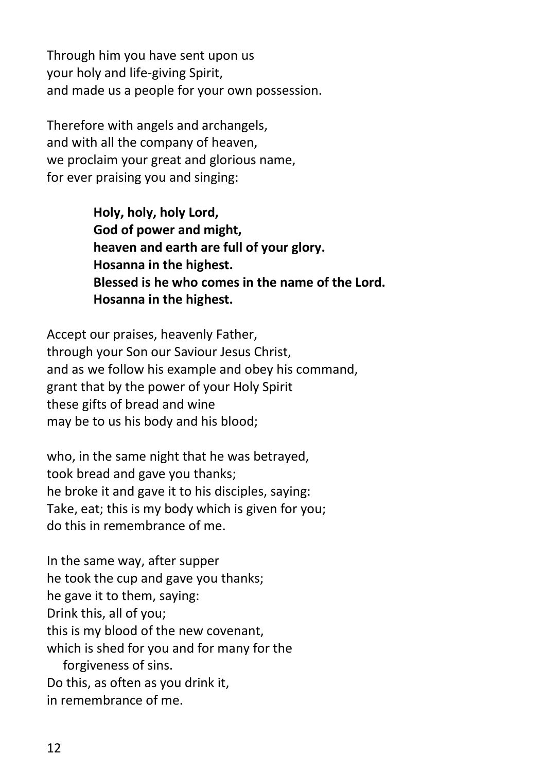Through him you have sent upon us your holy and life-giving Spirit, and made us a people for your own possession.

Therefore with angels and archangels, and with all the company of heaven, we proclaim your great and glorious name, for ever praising you and singing:

> **Holy, holy, holy Lord, God of power and might, heaven and earth are full of your glory. Hosanna in the highest. Blessed is he who comes in the name of the Lord. Hosanna in the highest.**

Accept our praises, heavenly Father, through your Son our Saviour Jesus Christ, and as we follow his example and obey his command, grant that by the power of your Holy Spirit these gifts of bread and wine may be to us his body and his blood;

who, in the same night that he was betrayed, took bread and gave you thanks; he broke it and gave it to his disciples, saying: Take, eat; this is my body which is given for you; do this in remembrance of me.

In the same way, after supper he took the cup and gave you thanks; he gave it to them, saying: Drink this, all of you; this is my blood of the new covenant, which is shed for you and for many for the forgiveness of sins. Do this, as often as you drink it, in remembrance of me.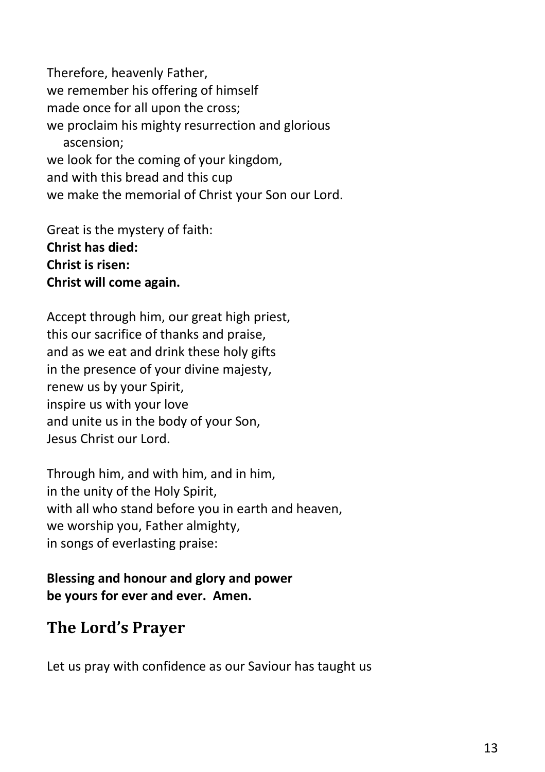Therefore, heavenly Father, we remember his offering of himself made once for all upon the cross; we proclaim his mighty resurrection and glorious ascension; we look for the coming of your kingdom, and with this bread and this cup we make the memorial of Christ your Son our Lord.

Great is the mystery of faith: **Christ has died: Christ is risen: Christ will come again.**

Accept through him, our great high priest, this our sacrifice of thanks and praise, and as we eat and drink these holy gifts in the presence of your divine majesty, renew us by your Spirit, inspire us with your love and unite us in the body of your Son, Jesus Christ our Lord.

Through him, and with him, and in him, in the unity of the Holy Spirit, with all who stand before you in earth and heaven, we worship you, Father almighty, in songs of everlasting praise:

**Blessing and honour and glory and power be yours for ever and ever. Amen.**

#### **The Lord's Prayer**

Let us pray with confidence as our Saviour has taught us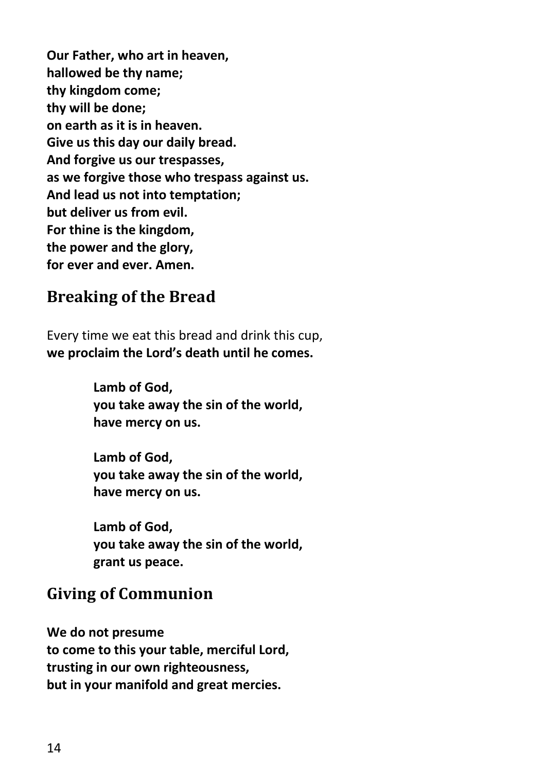**Our Father, who art in heaven, hallowed be thy name; thy kingdom come; thy will be done; on earth as it is in heaven. Give us this day our daily bread. And forgive us our trespasses, as we forgive those who trespass against us. And lead us not into temptation; but deliver us from evil. For thine is the kingdom, the power and the glory, for ever and ever. Amen.**

## **Breaking of the Bread**

Every time we eat this bread and drink this cup, **we proclaim the Lord's death until he comes.**

> **Lamb of God, you take away the sin of the world, have mercy on us.**

> **Lamb of God, you take away the sin of the world, have mercy on us.**

> **Lamb of God, you take away the sin of the world, grant us peace.**

## **Giving of Communion**

**We do not presume to come to this your table, merciful Lord, trusting in our own righteousness, but in your manifold and great mercies.**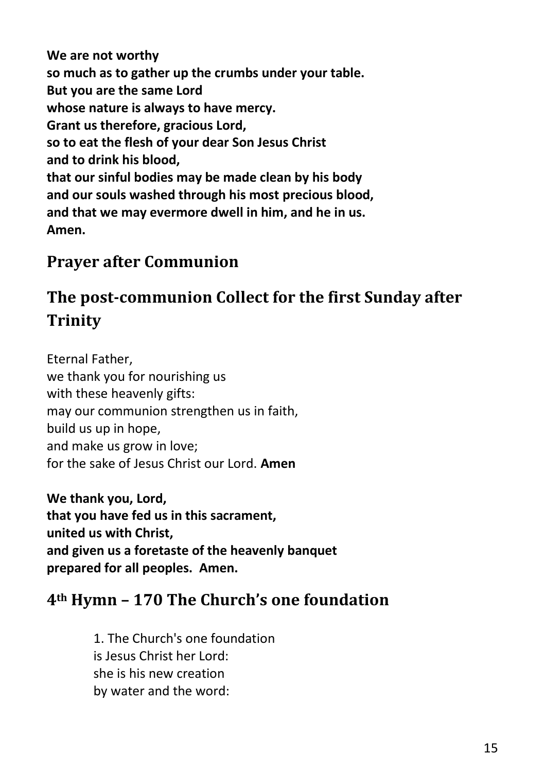**We are not worthy so much as to gather up the crumbs under your table. But you are the same Lord whose nature is always to have mercy. Grant us therefore, gracious Lord, so to eat the flesh of your dear Son Jesus Christ and to drink his blood, that our sinful bodies may be made clean by his body and our souls washed through his most precious blood, and that we may evermore dwell in him, and he in us. Amen.**

#### **Prayer after Communion**

## **The post-communion Collect for the first Sunday after Trinity**

Eternal Father, we thank you for nourishing us with these heavenly gifts: may our communion strengthen us in faith, build us up in hope, and make us grow in love; for the sake of Jesus Christ our Lord. **Amen**

**We thank you, Lord, that you have fed us in this sacrament, united us with Christ, and given us a foretaste of the heavenly banquet prepared for all peoples. Amen.**

#### **4th Hymn – 170 The Church's one foundation**

1. The Church's one foundation is Jesus Christ her Lord: she is his new creation by water and the word: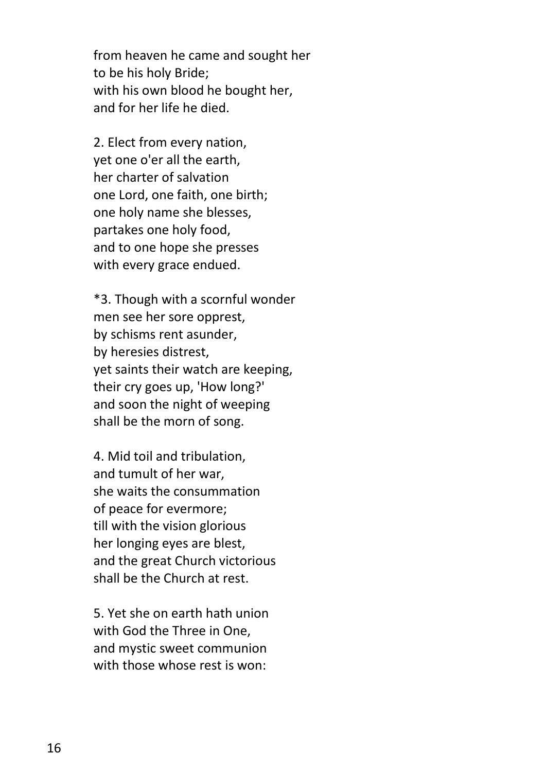from heaven he came and sought her to be his holy Bride; with his own blood he bought her, and for her life he died.

2. Elect from every nation, yet one o'er all the earth, her charter of salvation one Lord, one faith, one birth; one holy name she blesses, partakes one holy food, and to one hope she presses with every grace endued.

\*3. Though with a scornful wonder men see her sore opprest, by schisms rent asunder, by heresies distrest, yet saints their watch are keeping, their cry goes up, 'How long?' and soon the night of weeping shall be the morn of song.

4. Mid toil and tribulation, and tumult of her war, she waits the consummation of peace for evermore; till with the vision glorious her longing eyes are blest, and the great Church victorious shall be the Church at rest.

5. Yet she on earth hath union with God the Three in One, and mystic sweet communion with those whose rest is won: